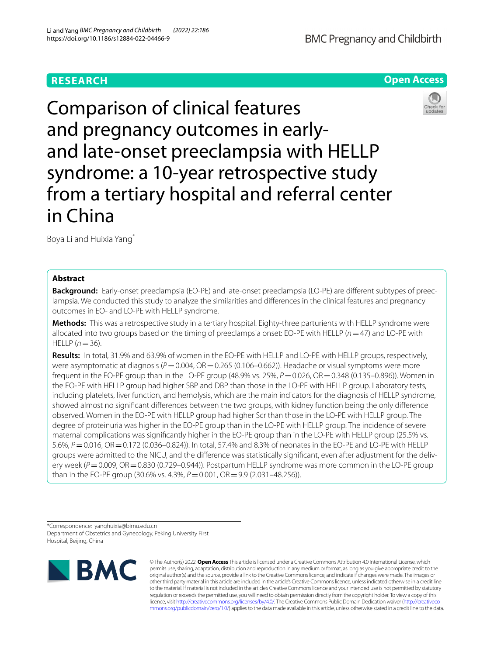# **RESEARCH**



Comparison of clinical features and pregnancy outcomes in earlyand late-onset preeclampsia with HELLP syndrome: a 10-year retrospective study from a tertiary hospital and referral center in China



Boya Li and Huixia Yang\*

## **Abstract**

**Background:** Early-onset preeclampsia (EO-PE) and late-onset preeclampsia (LO-PE) are diferent subtypes of preeclampsia. We conducted this study to analyze the similarities and diferences in the clinical features and pregnancy outcomes in EO- and LO-PE with HELLP syndrome.

**Methods:** This was a retrospective study in a tertiary hospital. Eighty-three parturients with HELLP syndrome were allocated into two groups based on the timing of preeclampsia onset: EO-PE with HELLP (*n*=47) and LO-PE with  $HELLP (n = 36)$ .

**Results:** In total, 31.9% and 63.9% of women in the EO-PE with HELLP and LO-PE with HELLP groups, respectively, were asymptomatic at diagnosis ( $P$ =0.004, OR=0.265 (0.106–0.662)). Headache or visual symptoms were more frequent in the EO-PE group than in the LO-PE group (48.9% vs. 25%, *P*=0.026, OR=0.348 (0.135–0.896)). Women in the EO-PE with HELLP group had higher SBP and DBP than those in the LO-PE with HELLP group. Laboratory tests, including platelets, liver function, and hemolysis, which are the main indicators for the diagnosis of HELLP syndrome, showed almost no signifcant diferences between the two groups, with kidney function being the only diference observed. Women in the EO-PE with HELLP group had higher Scr than those in the LO-PE with HELLP group. The degree of proteinuria was higher in the EO-PE group than in the LO-PE with HELLP group. The incidence of severe maternal complications was signifcantly higher in the EO-PE group than in the LO-PE with HELLP group (25.5% vs. 5.6%, *P* = 0.016, OR = 0.172 (0.036–0.824)). In total, 57.4% and 8.3% of neonates in the EO-PE and LO-PE with HELLP groups were admitted to the NICU, and the diference was statistically signifcant, even after adjustment for the delivery week ( $P=0.009$ , OR = 0.830 (0.729–0.944)). Postpartum HELLP syndrome was more common in the LO-PE group than in the EO-PE group (30.6% vs. 4.3%,  $P = 0.001$ , OR = 9.9 (2.031–48.256)).

\*Correspondence: yanghuixia@bjmu.edu.cn Department of Obstetrics and Gynecology, Peking University First Hospital, Beijing, China



© The Author(s) 2022. **Open Access** This article is licensed under a Creative Commons Attribution 4.0 International License, which permits use, sharing, adaptation, distribution and reproduction in any medium or format, as long as you give appropriate credit to the original author(s) and the source, provide a link to the Creative Commons licence, and indicate if changes were made. The images or other third party material in this article are included in the article's Creative Commons licence, unless indicated otherwise in a credit line to the material. If material is not included in the article's Creative Commons licence and your intended use is not permitted by statutory regulation or exceeds the permitted use, you will need to obtain permission directly from the copyright holder. To view a copy of this licence, visit [http://creativecommons.org/licenses/by/4.0/.](http://creativecommons.org/licenses/by/4.0/) The Creative Commons Public Domain Dedication waiver ([http://creativeco](http://creativecommons.org/publicdomain/zero/1.0/) [mmons.org/publicdomain/zero/1.0/](http://creativecommons.org/publicdomain/zero/1.0/)) applies to the data made available in this article, unless otherwise stated in a credit line to the data.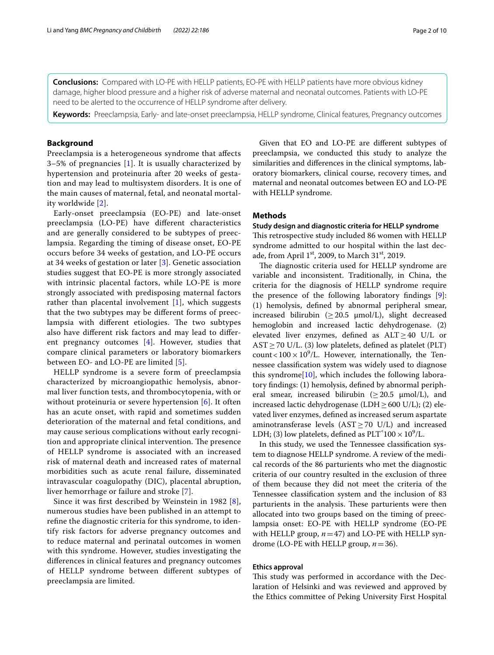**Conclusions:** Compared with LO-PE with HELLP patients, EO-PE with HELLP patients have more obvious kidney damage, higher blood pressure and a higher risk of adverse maternal and neonatal outcomes. Patients with LO-PE need to be alerted to the occurrence of HELLP syndrome after delivery.

**Keywords:** Preeclampsia, Early- and late-onset preeclampsia, HELLP syndrome, Clinical features, Pregnancy outcomes

## **Background**

Preeclampsia is a heterogeneous syndrome that afects 3–5% of pregnancies [[1\]](#page-8-0). It is usually characterized by hypertension and proteinuria after 20 weeks of gestation and may lead to multisystem disorders. It is one of the main causes of maternal, fetal, and neonatal mortality worldwide [[2\]](#page-8-1).

Early-onset preeclampsia (EO-PE) and late-onset preeclampsia (LO-PE) have diferent characteristics and are generally considered to be subtypes of preeclampsia. Regarding the timing of disease onset, EO-PE occurs before 34 weeks of gestation, and LO-PE occurs at 34 weeks of gestation or later [[3](#page-8-2)]. Genetic association studies suggest that EO-PE is more strongly associated with intrinsic placental factors, while LO-PE is more strongly associated with predisposing maternal factors rather than placental involvement  $[1]$  $[1]$ , which suggests that the two subtypes may be diferent forms of preeclampsia with different etiologies. The two subtypes also have diferent risk factors and may lead to diferent pregnancy outcomes [\[4](#page-8-3)]. However, studies that compare clinical parameters or laboratory biomarkers between EO- and LO-PE are limited [[5\]](#page-8-4).

HELLP syndrome is a severe form of preeclampsia characterized by microangiopathic hemolysis, abnormal liver function tests, and thrombocytopenia, with or without proteinuria or severe hypertension [[6\]](#page-8-5). It often has an acute onset, with rapid and sometimes sudden deterioration of the maternal and fetal conditions, and may cause serious complications without early recognition and appropriate clinical intervention. The presence of HELLP syndrome is associated with an increased risk of maternal death and increased rates of maternal morbidities such as acute renal failure, disseminated intravascular coagulopathy (DIC), placental abruption, liver hemorrhage or failure and stroke [\[7](#page-8-6)].

Since it was frst described by Weinstein in 1982 [[8\]](#page-8-7), numerous studies have been published in an attempt to refne the diagnostic criteria for this syndrome, to identify risk factors for adverse pregnancy outcomes and to reduce maternal and perinatal outcomes in women with this syndrome. However, studies investigating the diferences in clinical features and pregnancy outcomes of HELLP syndrome between diferent subtypes of preeclampsia are limited.

Given that EO and LO-PE are diferent subtypes of preeclampsia, we conducted this study to analyze the similarities and diferences in the clinical symptoms, laboratory biomarkers, clinical course, recovery times, and maternal and neonatal outcomes between EO and LO-PE with HELLP syndrome.

## **Methods**

## **Study design and diagnostic criteria for HELLP syndrome**

This retrospective study included 86 women with HELLP syndrome admitted to our hospital within the last decade, from April  $1<sup>st</sup>$ , 2009, to March 31 $<sup>st</sup>$ , 2019.</sup>

The diagnostic criteria used for HELLP syndrome are variable and inconsistent. Traditionally, in China, the criteria for the diagnosis of HELLP syndrome require the presence of the following laboratory fndings [\[9](#page-9-0)]: (1) hemolysis, defned by abnormal peripheral smear, increased bilirubin ( $\geq 20.5$   $\mu$ mol/L), slight decreased hemoglobin and increased lactic dehydrogenase. (2) elevated liver enzymes, defned as ALT≥40 U/L or  $AST \ge 70$  U/L. (3) low platelets, defined as platelet (PLT) count <  $100 \times 10^9$ /L. However, internationally, the Tennessee classifcation system was widely used to diagnose this syndrome $[10]$ , which includes the following laboratory fndings: (1) hemolysis, defned by abnormal peripheral smear, increased bilirubin ( $\geq 20.5$   $\mu$ mol/L), and increased lactic dehydrogenase (LDH $\geq$  600 U/L); (2) elevated liver enzymes, defned as increased serum aspartate aminotransferase levels ( $AST \ge 70$  U/L) and increased LDH; (3) low platelets, defined as  $PLT^2100 \times 10^9/L$ .

In this study, we used the Tennessee classifcation system to diagnose HELLP syndrome. A review of the medical records of the 86 parturients who met the diagnostic criteria of our country resulted in the exclusion of three of them because they did not meet the criteria of the Tennessee classifcation system and the inclusion of 83 parturients in the analysis. These parturients were then allocated into two groups based on the timing of preeclampsia onset: EO-PE with HELLP syndrome (EO-PE with HELLP group,  $n=47$ ) and LO-PE with HELLP syndrome (LO-PE with HELLP group, *n*=36).

### **Ethics approval**

This study was performed in accordance with the Declaration of Helsinki and was reviewed and approved by the Ethics committee of Peking University First Hospital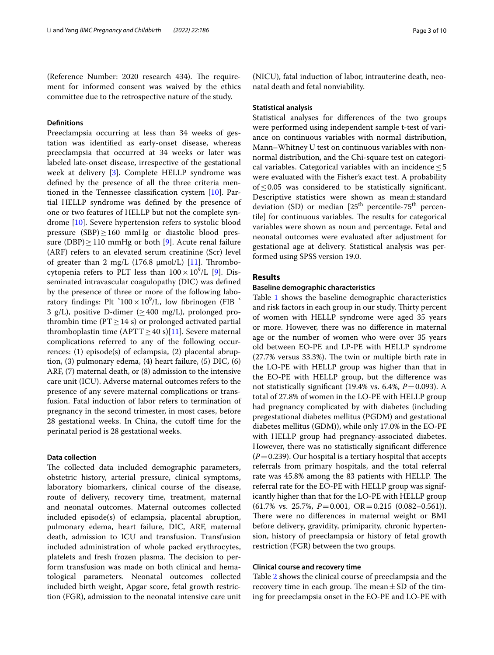(Reference Number: 2020 research 434). The requirement for informed consent was waived by the ethics committee due to the retrospective nature of the study.

## **Defnitions**

Preeclampsia occurring at less than 34 weeks of gestation was identifed as early-onset disease, whereas preeclampsia that occurred at 34 weeks or later was labeled late-onset disease, irrespective of the gestational week at delivery [\[3\]](#page-8-2). Complete HELLP syndrome was defned by the presence of all the three criteria mentioned in the Tennessee classifcation cystem [\[10](#page-9-1)]. Partial HELLP syndrome was defned by the presence of one or two features of HELLP but not the complete syndrome [[10\]](#page-9-1). Severe hypertension refers to systolic blood pressure  $(SBP) \ge 160$  mmHg or diastolic blood pressure (DBP) $\geq$ 110 mmHg or both [[9](#page-9-0)]. Acute renal failure (ARF) refers to an elevated serum creatinine (Scr) level of greater than 2 mg/L (176.8  $\mu$ mol/L) [\[11](#page-9-2)]. Thrombocytopenia refers to PLT less than  $100 \times 10^9$  $100 \times 10^9$ /L [9]. Disseminated intravascular coagulopathy (DIC) was defned by the presence of three or more of the following laboratory findings: Plt  $^5100 \times 10^9$ /L, low fibrinogen (FIB  $^5$ 3 g/L), positive D-dimer ( $\geq$  400 mg/L), prolonged prothrombin time ( $PT \ge 14$  s) or prolonged activated partial thromboplastin time (APTT  $\geq$  40 s)[\[11](#page-9-2)]. Severe maternal complications referred to any of the following occurrences: (1) episode(s) of eclampsia, (2) placental abruption, (3) pulmonary edema, (4) heart failure, (5) DIC, (6) ARF, (7) maternal death, or (8) admission to the intensive care unit (ICU). Adverse maternal outcomes refers to the presence of any severe maternal complications or transfusion. Fatal induction of labor refers to termination of pregnancy in the second trimester, in most cases, before 28 gestational weeks. In China, the cutoff time for the perinatal period is 28 gestational weeks.

## **Data collection**

The collected data included demographic parameters, obstetric history, arterial pressure, clinical symptoms, laboratory biomarkers, clinical course of the disease, route of delivery, recovery time, treatment, maternal and neonatal outcomes. Maternal outcomes collected included episode(s) of eclampsia, placental abruption, pulmonary edema, heart failure, DIC, ARF, maternal death, admission to ICU and transfusion. Transfusion included administration of whole packed erythrocytes, platelets and fresh frozen plasma. The decision to perform transfusion was made on both clinical and hematological parameters. Neonatal outcomes collected included birth weight, Apgar score, fetal growth restriction (FGR), admission to the neonatal intensive care unit (NICU), fatal induction of labor, intrauterine death, neonatal death and fetal nonviability.

### **Statistical analysis**

Statistical analyses for diferences of the two groups were performed using independent sample t-test of variance on continuous variables with normal distribution, Mann–Whitney U test on continuous variables with nonnormal distribution, and the Chi-square test on categorical variables. Categorical variables with an incidence  $\leq 5$ were evaluated with the Fisher's exact test. A probability of≤0.05 was considered to be statistically signifcant. Descriptive statistics were shown as mean±standard deviation (SD) or median  $[25<sup>th</sup>$  percentile-75<sup>th</sup> percentile] for continuous variables. The results for categorical variables were shown as noun and percentage. Fetal and neonatal outcomes were evaluated after adjustment for gestational age at delivery. Statistical analysis was performed using SPSS version 19.0.

## **Results**

### **Baseline demographic characteristics**

Table [1](#page-3-0) shows the baseline demographic characteristics and risk factors in each group in our study. Thirty percent of women with HELLP syndrome were aged 35 years or more. However, there was no diference in maternal age or the number of women who were over 35 years old between EO-PE and LP-PE with HELLP syndrome  $(27.7%$  versus  $33.3%$ ). The twin or multiple birth rate in the LO-PE with HELLP group was higher than that in the EO-PE with HELLP group, but the diference was not statistically signifcant (19.4% vs. 6.4%, *P*=0.093). A total of 27.8% of women in the LO-PE with HELLP group had pregnancy complicated by with diabetes (including pregestational diabetes mellitus (PGDM) and gestational diabetes mellitus (GDM)), while only 17.0% in the EO-PE with HELLP group had pregnancy-associated diabetes. However, there was no statistically signifcant diference  $(P=0.239)$ . Our hospital is a tertiary hospital that accepts referrals from primary hospitals, and the total referral rate was 45.8% among the 83 patients with HELLP. The referral rate for the EO-PE with HELLP group was significantly higher than that for the LO-PE with HELLP group (61.7% vs. 25.7%, *P*=0.001, OR=0.215 (0.082–0.561)). There were no differences in maternal weight or BMI before delivery, gravidity, primiparity, chronic hypertension, history of preeclampsia or history of fetal growth restriction (FGR) between the two groups.

#### **Clinical course and recovery time**

Table [2](#page-3-1) shows the clinical course of preeclampsia and the recovery time in each group. The mean  $\pm$  SD of the timing for preeclampsia onset in the EO-PE and LO-PE with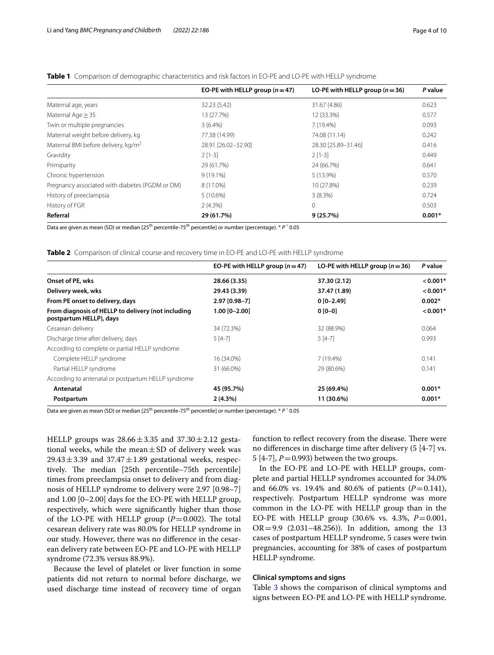|                                                 | EO-PE with HELLP group $(n=47)$ | LO-PE with HELLP group $(n=36)$ | P value  |
|-------------------------------------------------|---------------------------------|---------------------------------|----------|
| Maternal age, years                             | 32.23 (5.42)                    | 31.67 (4.86)                    | 0.623    |
| Maternal Age $\geq$ 35                          | 13 (27.7%)                      | 12 (33.3%)                      | 0.577    |
| Twin or multiple pregnancies                    | $3(6.4\%)$                      | 7 (19.4%)                       | 0.093    |
| Maternal weight before delivery, kg             | 77.38 (14.99)                   | 74.08 (11.14)                   | 0.242    |
| Maternal BMI before delivery, kg/m <sup>2</sup> | 28.91 [26.02-32.90]             | 28.30 [25.89-31.46]             | 0.416    |
| Gravidity                                       | $2$ [1-3]                       | $2$ [1-3]                       | 0.449    |
| Primiparity                                     | 29 (61.7%)                      | 24 (66.7%)                      | 0.641    |
| Chronic hypertension                            | $9(19.1\%)$                     | 5 (13.9%)                       | 0.570    |
| Pregnancy associated with diabetes (PGDM or DM) | 8 (17.0%)                       | 10 (27.8%)                      | 0.239    |
| History of preeclampsia                         | 5(10.6%)                        | $3(8.3\%)$                      | 0.724    |
| History of FGR                                  | $2(4.3\%)$                      | $\mathbf 0$                     | 0.503    |
| Referral                                        | 29 (61.7%)                      | 9(25.7%)                        | $0.001*$ |

## <span id="page-3-0"></span>**Table 1** Comparison of demographic characteristics and risk factors in EO-PE and LO-PE with HELLP syndrome

Data are given as mean (SD) or median [25th percentile-75th percentile] or number (percentage). \* *P* ˂ 0.05

<span id="page-3-1"></span>**Table 2** Comparison of clinical course and recovery time in EO-PE and LO-PE with HELLP syndrome

|                                                                               | EO-PE with HELLP group $(n=47)$ | LO-PE with HELLP group $(n=36)$ | P value    |
|-------------------------------------------------------------------------------|---------------------------------|---------------------------------|------------|
| Onset of PE, wks                                                              | 28.66 (3.35)                    | 37.30 (2.12)                    | $< 0.001*$ |
| Delivery week, wks                                                            | 29.43 (3.39)                    | 37.47 (1.89)                    | $< 0.001*$ |
| From PE onset to delivery, days                                               | 2.97 [0.98-7]                   | $0[0-2.49]$                     | $0.002*$   |
| From diagnosis of HELLP to delivery (not including<br>postpartum HELLP), days | $1.00$ [0-2.00]                 | $0[0-0]$                        | $< 0.001*$ |
| Cesarean delivery                                                             | 34 (72.3%)                      | 32 (88.9%)                      | 0.064      |
| Discharge time after delivery, days                                           | $5[4-7]$                        | $5[4-7]$                        | 0.993      |
| According to complete or partial HELLP syndrome                               |                                 |                                 |            |
| Complete HELLP syndrome                                                       | 16 (34.0%)                      | 7 (19.4%)                       | 0.141      |
| Partial HELLP syndrome                                                        | 31 (66.0%)                      | 29 (80.6%)                      | 0.141      |
| According to antenatal or postpartum HELLP syndrome                           |                                 |                                 |            |
| Antenatal                                                                     | 45 (95.7%)                      | 25 (69.4%)                      | $0.001*$   |
| Postpartum                                                                    | 2(4.3%)                         | 11 (30.6%)                      | $0.001*$   |

Data are given as mean (SD) or median [25th percentile-75th percentile] or number (percentage). \* *P* ˂ 0.05

HELLP groups was  $28.66 \pm 3.35$  and  $37.30 \pm 2.12$  gestational weeks, while the mean $\pm$ SD of delivery week was  $29.43 \pm 3.39$  and  $37.47 \pm 1.89$  gestational weeks, respectively. The median [25th percentile–75th percentile] times from preeclampsia onset to delivery and from diagnosis of HELLP syndrome to delivery were 2.97 [0.98–7] and 1.00 [0–2.00] days for the EO-PE with HELLP group, respectively, which were signifcantly higher than those of the LO-PE with HELLP group  $(P=0.002)$ . The total cesarean delivery rate was 80.0% for HELLP syndrome in our study. However, there was no diference in the cesarean delivery rate between EO-PE and LO-PE with HELLP syndrome (72.3% versus 88.9%).

Because the level of platelet or liver function in some patients did not return to normal before discharge, we used discharge time instead of recovery time of organ function to reflect recovery from the disease. There were no diferences in discharge time after delivery (5 [4-7] vs. 5  $[4-7]$ ,  $P=0.993$ ) between the two groups.

In the EO-PE and LO-PE with HELLP groups, complete and partial HELLP syndromes accounted for 34.0% and 66.0% vs. 19.4% and 80.6% of patients  $(P=0.141)$ , respectively. Postpartum HELLP syndrome was more common in the LO-PE with HELLP group than in the EO-PE with HELLP group (30.6% vs. 4.3%, *P*=0.001, OR=9.9 (2.031–48.256)). In addition, among the 13 cases of postpartum HELLP syndrome, 5 cases were twin pregnancies, accounting for 38% of cases of postpartum HELLP syndrome.

### **Clinical symptoms and signs**

Table [3](#page-4-0) shows the comparison of clinical symptoms and signs between EO-PE and LO-PE with HELLP syndrome.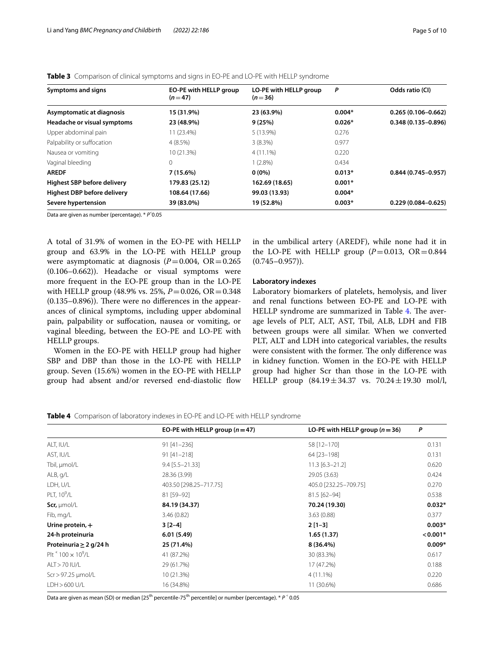| Symptoms and signs                 | EO-PE with HELLP group<br>$(n=47)$ | LO-PE with HELLP group<br>$(n=36)$ | P        | Odds ratio (CI)        |
|------------------------------------|------------------------------------|------------------------------------|----------|------------------------|
| Asymptomatic at diagnosis          | 15 (31.9%)                         | 23 (63.9%)                         | $0.004*$ | $0.265(0.106 - 0.662)$ |
| Headache or visual symptoms        | 23 (48.9%)                         | 9(25%)                             | $0.026*$ | $0.348(0.135 - 0.896)$ |
| Upper abdominal pain               | 11 (23.4%)                         | 5 (13.9%)                          | 0.276    |                        |
| Palpability or suffocation         | 4(8.5%)                            | 3(8.3%)                            | 0.977    |                        |
| Nausea or vomiting                 | 10 (21.3%)                         | $4(11.1\%)$                        | 0.220    |                        |
| Vaginal bleeding                   | $\Omega$                           | $1(2.8\%)$                         | 0.434    |                        |
| <b>AREDF</b>                       | $7(15.6\%)$                        | $0(0\%)$                           | $0.013*$ | $0.844(0.745 - 0.957)$ |
| <b>Highest SBP before delivery</b> | 179.83 (25.12)                     | 162.69 (18.65)                     | $0.001*$ |                        |
| <b>Highest DBP before delivery</b> | 108.64 (17.66)                     | 99.03 (13.93)                      | $0.004*$ |                        |
| Severe hypertension                | 39 (83.0%)                         | 19 (52.8%)                         | $0.003*$ | $0.229(0.084 - 0.625)$ |

<span id="page-4-0"></span>**Table 3** Comparison of clinical symptoms and signs in EO-PE and LO-PE with HELLP syndrome

Data are given as number (percentage). \* *P*˂0.05

A total of 31.9% of women in the EO-PE with HELLP group and 63.9% in the LO-PE with HELLP group were asymptomatic at diagnosis  $(P=0.004, \text{ OR} = 0.265)$ (0.106–0.662)). Headache or visual symptoms were more frequent in the EO-PE group than in the LO-PE with HELLP group (48.9% vs. 25%,  $P = 0.026$ , OR=0.348  $(0.135-0.896)$ . There were no differences in the appearances of clinical symptoms, including upper abdominal pain, palpability or sufocation, nausea or vomiting, or vaginal bleeding, between the EO-PE and LO-PE with HELLP groups.

Women in the EO-PE with HELLP group had higher SBP and DBP than those in the LO-PE with HELLP group. Seven (15.6%) women in the EO-PE with HELLP group had absent and/or reversed end-diastolic flow in the umbilical artery (AREDF), while none had it in the LO-PE with HELLP group  $(P=0.013, \text{ OR} = 0.844)$  $(0.745 - 0.957)$ .

### **Laboratory indexes**

Laboratory biomarkers of platelets, hemolysis, and liver and renal functions between EO-PE and LO-PE with HELLP syndrome are summarized in Table [4.](#page-4-1) The average levels of PLT, ALT, AST, Tbil, ALB, LDH and FIB between groups were all similar. When we converted PLT, ALT and LDH into categorical variables, the results were consistent with the former. The only difference was in kidney function. Women in the EO-PE with HELLP group had higher Scr than those in the LO-PE with HELLP group  $(84.19 \pm 34.37 \text{ vs. } 70.24 \pm 19.30 \text{ mol/l}$ ,

<span id="page-4-1"></span>**Table 4** Comparison of laboratory indexes in EO-PE and LO-PE with HELLP syndrome

|                                               | EO-PE with HELLP group $(n=47)$ | LO-PE with HELLP group $(n=36)$ | P          |
|-----------------------------------------------|---------------------------------|---------------------------------|------------|
| ALT, IU/L                                     | $91 [41 - 236]$                 | 58 [12-170]                     | 0.131      |
| AST, IU/L                                     | $91 [41 - 218]$                 | 64 [23-198]                     | 0.131      |
| Tbil, µmol/L                                  | $9.4$ [5.5-21.33]               | $11.3$ [6.3-21.2]               | 0.620      |
| ALB, q/L                                      | 28.36 (3.99)                    | 29.05 (3.63)                    | 0.424      |
| LDH, U/L                                      | 403.50 [298.25-717.75]          | 405.0 [232.25-709.75]           | 0.270      |
| PLT, 10 <sup>9</sup> /L                       | 81 [59-92]                      | 81.5 [62-94]                    | 0.538      |
| Scr, $\mu$ mol/L                              | 84.19 (34.37)                   | 70.24 (19.30)                   | $0.032*$   |
| Fib, mg/L                                     | 3.46(0.82)                      | 3.63(0.88)                      | 0.377      |
| Urine protein, +                              | $3[2-4]$                        | $2[1-3]$                        | $0.003*$   |
| 24-h proteinuria                              | 6.01(5.49)                      | 1.65(1.37)                      | $< 0.001*$ |
| Proteinuria $\geq 2$ g/24 h                   | 25 (71.4%)                      | $8(36.4\%)$                     | $0.009*$   |
| Plt $\degree$ 100 $\times$ 10 <sup>9</sup> /L | 41 (87.2%)                      | 30 (83.3%)                      | 0.617      |
| ALT > 70 IU/L                                 | 29 (61.7%)                      | 17 (47.2%)                      | 0.188      |
| Scr > 97.25 µmol/L                            | 10 (21.3%)                      | $4(11.1\%)$                     | 0.220      |
| LDH > 600 U/L                                 | 16 (34.8%)                      | 11 (30.6%)                      | 0.686      |

Data are given as mean (SD) or median [25<sup>th</sup> percentile-75<sup>th</sup> percentile] or number (percentage). \* *P*  $\cdot$  0.05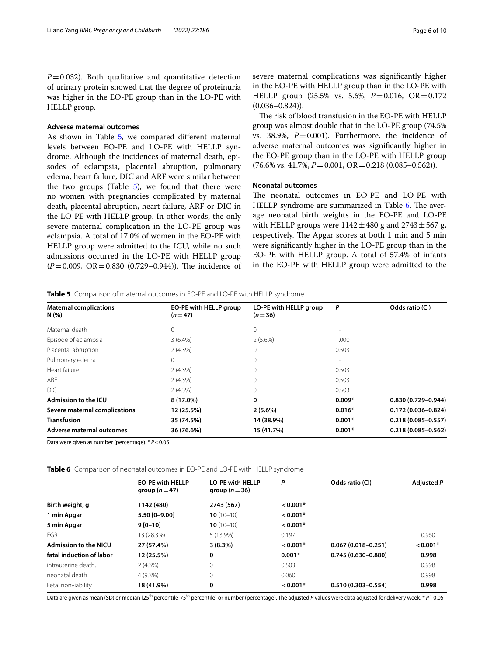$P=0.032$ ). Both qualitative and quantitative detection of urinary protein showed that the degree of proteinuria was higher in the EO-PE group than in the LO-PE with HELLP group.

### **Adverse maternal outcomes**

As shown in Table [5](#page-5-0), we compared different maternal levels between EO-PE and LO-PE with HELLP syndrome. Although the incidences of maternal death, episodes of eclampsia, placental abruption, pulmonary edema, heart failure, DIC and ARF were similar between the two groups (Table  $5$ ), we found that there were no women with pregnancies complicated by maternal death, placental abruption, heart failure, ARF or DIC in the LO-PE with HELLP group. In other words, the only severe maternal complication in the LO-PE group was eclampsia. A total of 17.0% of women in the EO-PE with HELLP group were admitted to the ICU, while no such admissions occurred in the LO-PE with HELLP group  $(P=0.009, \text{ OR }=0.830 \text{ (}0.729-0.944\text{)).}$  The incidence of severe maternal complications was signifcantly higher in the EO-PE with HELLP group than in the LO-PE with HELLP group (25.5% vs. 5.6%, *P*=0.016, OR=0.172  $(0.036 - 0.824)$ .

The risk of blood transfusion in the EO-PE with HELLP group was almost double that in the LO-PE group (74.5% vs. 38.9%,  $P=0.001$ ). Furthermore, the incidence of adverse maternal outcomes was signifcantly higher in the EO-PE group than in the LO-PE with HELLP group  $(76.6\% \text{ vs. } 41.7\%, P=0.001, \text{ OR} = 0.218 (0.085-0.562)).$ 

## **Neonatal outcomes**

The neonatal outcomes in EO-PE and LO-PE with HELLP syndrome are summarized in Table [6.](#page-5-1) The average neonatal birth weights in the EO-PE and LO-PE with HELLP groups were  $1142 \pm 480$  g and  $2743 \pm 567$  g, respectively. The Apgar scores at both 1 min and 5 min were signifcantly higher in the LO-PE group than in the EO-PE with HELLP group. A total of 57.4% of infants in the EO-PE with HELLP group were admitted to the

#### <span id="page-5-0"></span>**Table 5** Comparison of maternal outcomes in EO-PE and LO-PE with HELLP syndrome

| <b>Maternal complications</b><br>N(%) | EO-PE with HELLP group<br>$(n=47)$ | LO-PE with HELLP group<br>$(n=36)$ | P                        | Odds ratio (CI)        |
|---------------------------------------|------------------------------------|------------------------------------|--------------------------|------------------------|
| Maternal death                        | $\Omega$                           | $\Omega$                           |                          |                        |
| Episode of eclampsia                  | $3(6.4\%)$                         | 2(5.6%)                            | 1.000                    |                        |
| Placental abruption                   | $2(4.3\%)$                         | 0                                  | 0.503                    |                        |
| Pulmonary edema                       | $\Omega$                           |                                    | $\overline{\phantom{a}}$ |                        |
| Heart failure                         | $2(4.3\%)$                         |                                    | 0.503                    |                        |
| <b>ARF</b>                            | 2(4.3%)                            |                                    | 0.503                    |                        |
| <b>DIC</b>                            | 2(4.3%)                            |                                    | 0.503                    |                        |
| Admission to the ICU                  | 8 (17.0%)                          | 0                                  | $0.009*$                 | $0.830(0.729 - 0.944)$ |
| Severe maternal complications         | 12 (25.5%)                         | $2(5.6\%)$                         | $0.016*$                 | $0.172(0.036 - 0.824)$ |
| <b>Transfusion</b>                    | 35 (74.5%)                         | 14 (38.9%)                         | $0.001*$                 | $0.218(0.085 - 0.557)$ |
| Adverse maternal outcomes             | 36 (76.6%)                         | 15 (41.7%)                         | $0.001*$                 | $0.218(0.085 - 0.562)$ |

Data were given as number (percentage). \* *P*<0.05

<span id="page-5-1"></span>**Table 6** Comparison of neonatal outcomes in EO-PE and LO-PE with HELLP syndrome

|                              | <b>EO-PE with HELLP</b><br>group $(n=47)$ | <b>LO-PE with HELLP</b><br>group $(n=36)$ | P          | Odds ratio (CI)        | Adjusted P |
|------------------------------|-------------------------------------------|-------------------------------------------|------------|------------------------|------------|
| Birth weight, g              | 1142 (480)                                | 2743 (567)                                | $< 0.001*$ |                        |            |
| 1 min Apgar                  | 5.50 [0-9.00]                             | $10$ [10-10]                              | $< 0.001*$ |                        |            |
| 5 min Apgar                  | $9 [0 - 10]$                              | $10$ [10-10]                              | $< 0.001*$ |                        |            |
| <b>FGR</b>                   | 13 (28.3%)                                | $5(13.9\%)$                               | 0.197      |                        | 0.960      |
| <b>Admission to the NICU</b> | 27 (57.4%)                                | $3(8.3\%)$                                | $< 0.001*$ | $0.067(0.018 - 0.251)$ | $< 0.001*$ |
| fatal induction of labor     | 12 (25.5%)                                | 0                                         | $0.001*$   | $0.745(0.630 - 0.880)$ | 0.998      |
| intrauterine death.          | $2(4.3\%)$                                | $\mathbf 0$                               | 0.503      |                        | 0.998      |
| neonatal death               | $4(9.3\%)$                                | $\Omega$                                  | 0.060      |                        | 0.998      |
| Fetal nonviability           | 18 (41.9%)                                | 0                                         | $< 0.001*$ | $0.510(0.303 - 0.554)$ | 0.998      |

Data are given as mean (SD) or median [25<sup>th</sup> percentile-75<sup>th</sup> percentile] or number (percentage). The adjusted *P* values were data adjusted for delivery week. \* *P* < 0.05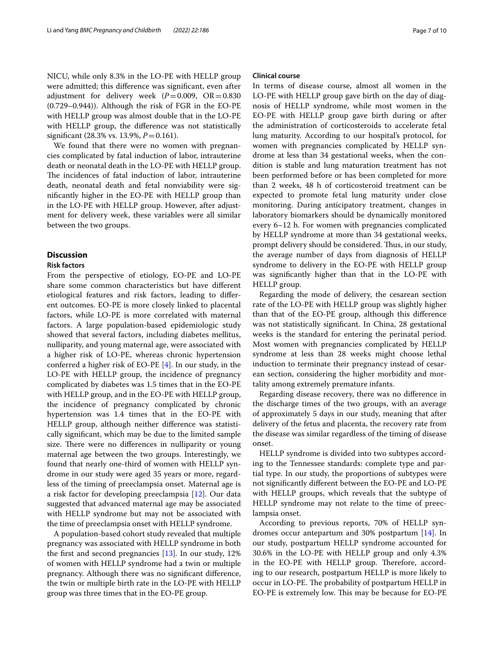NICU, while only 8.3% in the LO-PE with HELLP group were admitted; this diference was signifcant, even after adjustment for delivery week  $(P=0.009, \text{OR} = 0.830)$ (0.729–0.944)). Although the risk of FGR in the EO-PE with HELLP group was almost double that in the LO-PE with HELLP group, the diference was not statistically signifcant (28.3% vs. 13.9%, *P*=0.161).

We found that there were no women with pregnancies complicated by fatal induction of labor, intrauterine death or neonatal death in the LO-PE with HELLP group. The incidences of fatal induction of labor, intrauterine death, neonatal death and fetal nonviability were signifcantly higher in the EO-PE with HELLP group than in the LO-PE with HELLP group. However, after adjustment for delivery week, these variables were all similar between the two groups.

## **Discussion**

## **Risk factors**

From the perspective of etiology, EO-PE and LO-PE share some common characteristics but have diferent etiological features and risk factors, leading to diferent outcomes. EO-PE is more closely linked to placental factors, while LO-PE is more correlated with maternal factors. A large population-based epidemiologic study showed that several factors, including diabetes mellitus, nulliparity, and young maternal age, were associated with a higher risk of LO-PE, whereas chronic hypertension conferred a higher risk of EO-PE [\[4](#page-8-3)]. In our study, in the LO-PE with HELLP group, the incidence of pregnancy complicated by diabetes was 1.5 times that in the EO-PE with HELLP group, and in the EO-PE with HELLP group, the incidence of pregnancy complicated by chronic hypertension was 1.4 times that in the EO-PE with HELLP group, although neither diference was statistically signifcant, which may be due to the limited sample size. There were no differences in nulliparity or young maternal age between the two groups. Interestingly, we found that nearly one-third of women with HELLP syndrome in our study were aged 35 years or more, regardless of the timing of preeclampsia onset. Maternal age is a risk factor for developing preeclampsia [\[12](#page-9-3)]. Our data suggested that advanced maternal age may be associated with HELLP syndrome but may not be associated with the time of preeclampsia onset with HELLP syndrome.

A population-based cohort study revealed that multiple pregnancy was associated with HELLP syndrome in both the first and second pregnancies  $[13]$  $[13]$  $[13]$ . In our study, 12% of women with HELLP syndrome had a twin or multiple pregnancy. Although there was no signifcant diference, the twin or multiple birth rate in the LO-PE with HELLP group was three times that in the EO-PE group.

### **Clinical course**

In terms of disease course, almost all women in the LO-PE with HELLP group gave birth on the day of diagnosis of HELLP syndrome, while most women in the EO-PE with HELLP group gave birth during or after the administration of corticosteroids to accelerate fetal lung maturity. According to our hospital's protocol, for women with pregnancies complicated by HELLP syndrome at less than 34 gestational weeks, when the condition is stable and lung maturation treatment has not been performed before or has been completed for more than 2 weeks, 48 h of corticosteroid treatment can be expected to promote fetal lung maturity under close monitoring. During anticipatory treatment, changes in laboratory biomarkers should be dynamically monitored every 6–12 h. For women with pregnancies complicated by HELLP syndrome at more than 34 gestational weeks, prompt delivery should be considered. Thus, in our study, the average number of days from diagnosis of HELLP syndrome to delivery in the EO-PE with HELLP group was signifcantly higher than that in the LO-PE with HELLP group.

Regarding the mode of delivery, the cesarean section rate of the LO-PE with HELLP group was slightly higher than that of the EO-PE group, although this diference was not statistically signifcant. In China, 28 gestational weeks is the standard for entering the perinatal period. Most women with pregnancies complicated by HELLP syndrome at less than 28 weeks might choose lethal induction to terminate their pregnancy instead of cesarean section, considering the higher morbidity and mortality among extremely premature infants.

Regarding disease recovery, there was no diference in the discharge times of the two groups, with an average of approximately 5 days in our study, meaning that after delivery of the fetus and placenta, the recovery rate from the disease was similar regardless of the timing of disease onset.

HELLP syndrome is divided into two subtypes according to the Tennessee standards: complete type and partial type. In our study, the proportions of subtypes were not signifcantly diferent between the EO-PE and LO-PE with HELLP groups, which reveals that the subtype of HELLP syndrome may not relate to the time of preeclampsia onset.

According to previous reports, 70% of HELLP syndromes occur antepartum and 30% postpartum [\[14\]](#page-9-5). In our study, postpartum HELLP syndrome accounted for 30.6% in the LO-PE with HELLP group and only 4.3% in the EO-PE with HELLP group. Therefore, according to our research, postpartum HELLP is more likely to occur in LO-PE. The probability of postpartum HELLP in EO-PE is extremely low. This may be because for EO-PE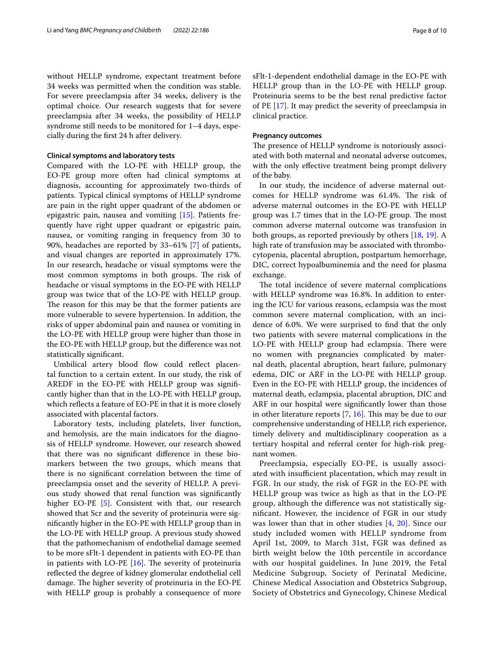without HELLP syndrome, expectant treatment before 34 weeks was permitted when the condition was stable. For severe preeclampsia after 34 weeks, delivery is the optimal choice. Our research suggests that for severe preeclampsia after 34 weeks, the possibility of HELLP syndrome still needs to be monitored for 1–4 days, especially during the frst 24 h after delivery.

### **Clinical symptoms and laboratory tests**

Compared with the LO-PE with HELLP group, the EO-PE group more often had clinical symptoms at diagnosis, accounting for approximately two-thirds of patients. Typical clinical symptoms of HELLP syndrome are pain in the right upper quadrant of the abdomen or epigastric pain, nausea and vomiting [[15\]](#page-9-6). Patients frequently have right upper quadrant or epigastric pain, nausea, or vomiting ranging in frequency from 30 to 90%, headaches are reported by 33–61% [\[7](#page-8-6)] of patients, and visual changes are reported in approximately 17%. In our research, headache or visual symptoms were the most common symptoms in both groups. The risk of headache or visual symptoms in the EO-PE with HELLP group was twice that of the LO-PE with HELLP group. The reason for this may be that the former patients are more vulnerable to severe hypertension. In addition, the risks of upper abdominal pain and nausea or vomiting in the LO-PE with HELLP group were higher than those in the EO-PE with HELLP group, but the diference was not statistically signifcant.

Umbilical artery blood flow could reflect placental function to a certain extent. In our study, the risk of AREDF in the EO-PE with HELLP group was signifcantly higher than that in the LO-PE with HELLP group, which reflects a feature of EO-PE in that it is more closely associated with placental factors.

Laboratory tests, including platelets, liver function, and hemolysis, are the main indicators for the diagnosis of HELLP syndrome. However, our research showed that there was no signifcant diference in these biomarkers between the two groups, which means that there is no signifcant correlation between the time of preeclampsia onset and the severity of HELLP. A previous study showed that renal function was signifcantly higher EO-PE [[5\]](#page-8-4). Consistent with that, our research showed that Scr and the severity of proteinuria were signifcantly higher in the EO-PE with HELLP group than in the LO-PE with HELLP group. A previous study showed that the pathomechanism of endothelial damage seemed to be more sFlt-1 dependent in patients with EO-PE than in patients with LO-PE  $[16]$  $[16]$ . The severity of proteinuria refected the degree of kidney glomerular endothelial cell damage. The higher severity of proteinuria in the EO-PE with HELLP group is probably a consequence of more sFlt-1-dependent endothelial damage in the EO-PE with HELLP group than in the LO-PE with HELLP group. Proteinuria seems to be the best renal predictive factor of PE [[17\]](#page-9-8). It may predict the severity of preeclampsia in clinical practice.

### **Pregnancy outcomes**

The presence of HELLP syndrome is notoriously associated with both maternal and neonatal adverse outcomes, with the only effective treatment being prompt delivery of the baby.

In our study, the incidence of adverse maternal outcomes for HELLP syndrome was 61.4%. The risk of adverse maternal outcomes in the EO-PE with HELLP group was 1.7 times that in the LO-PE group. The most common adverse maternal outcome was transfusion in both groups, as reported previously by others [[18,](#page-9-9) [19](#page-9-10)]. A high rate of transfusion may be associated with thrombocytopenia, placental abruption, postpartum hemorrhage, DIC, correct hypoalbuminemia and the need for plasma exchange.

The total incidence of severe maternal complications with HELLP syndrome was 16.8%. In addition to entering the ICU for various reasons, eclampsia was the most common severe maternal complication, with an incidence of 6.0%. We were surprised to fnd that the only two patients with severe maternal complications in the LO-PE with HELLP group had eclampsia. There were no women with pregnancies complicated by maternal death, placental abruption, heart failure, pulmonary edema, DIC or ARF in the LO-PE with HELLP group. Even in the EO-PE with HELLP group, the incidences of maternal death, eclampsia, placental abruption, DIC and ARF in our hospital were signifcantly lower than those in other literature reports  $[7, 16]$  $[7, 16]$  $[7, 16]$  $[7, 16]$ . This may be due to our comprehensive understanding of HELLP, rich experience, timely delivery and multidisciplinary cooperation as a tertiary hospital and referral center for high-risk pregnant women.

Preeclampsia, especially EO-PE, is usually associated with insufficient placentation, which may result in FGR. In our study, the risk of FGR in the EO-PE with HELLP group was twice as high as that in the LO-PE group, although the diference was not statistically signifcant. However, the incidence of FGR in our study was lower than that in other studies [[4,](#page-8-3) [20\]](#page-9-11). Since our study included women with HELLP syndrome from April 1st, 2009, to March 31st, FGR was defned as birth weight below the 10th percentile in accordance with our hospital guidelines. In June 2019, the Fetal Medicine Subgroup, Society of Perinatal Medicine, Chinese Medical Association and Obstetrics Subgroup, Society of Obstetrics and Gynecology, Chinese Medical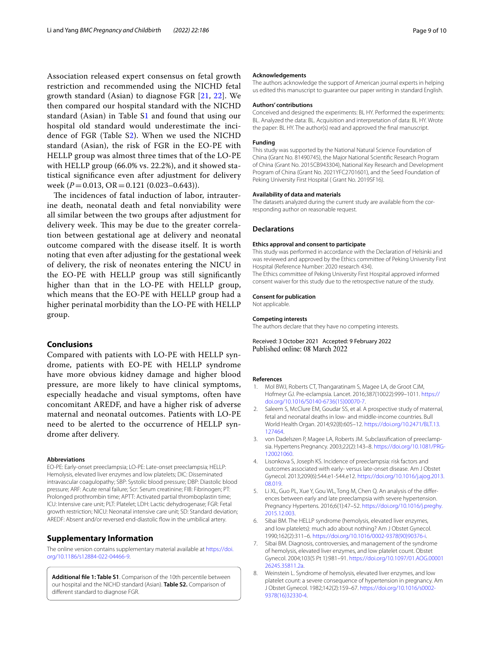Association released expert consensus on fetal growth restriction and recommended using the NICHD fetal growth standard (Asian) to diagnose FGR [[21](#page-9-12), [22\]](#page-9-13). We then compared our hospital standard with the NICHD standard (Asian) in Table [S1](#page-8-8) and found that using our hospital old standard would underestimate the incidence of FGR (Table [S2](#page-8-8)). When we used the NICHD standard (Asian), the risk of FGR in the EO-PE with HELLP group was almost three times that of the LO-PE with HELLP group (66.0% vs. 22.2%), and it showed statistical signifcance even after adjustment for delivery week (*P* = 0.013, OR = 0.121 (0.023–0.643)).

The incidences of fatal induction of labor, intrauterine death, neonatal death and fetal nonviability were all similar between the two groups after adjustment for delivery week. This may be due to the greater correlation between gestational age at delivery and neonatal outcome compared with the disease itself. It is worth noting that even after adjusting for the gestational week of delivery, the risk of neonates entering the NICU in the EO-PE with HELLP group was still signifcantly higher than that in the LO-PE with HELLP group, which means that the EO-PE with HELLP group had a higher perinatal morbidity than the LO-PE with HELLP group.

## **Conclusions**

Compared with patients with LO-PE with HELLP syndrome, patients with EO-PE with HELLP syndrome have more obvious kidney damage and higher blood pressure, are more likely to have clinical symptoms, especially headache and visual symptoms, often have concomitant AREDF, and have a higher risk of adverse maternal and neonatal outcomes. Patients with LO-PE need to be alerted to the occurrence of HELLP syndrome after delivery.

#### **Abbreviations**

EO-PE: Early-onset preeclampsia; LO-PE: Late-onset preeclampsia; HELLP: Hemolysis, elevated liver enzymes and low platelets; DIC: Disseminated intravascular coagulopathy; SBP: Systolic blood pressure; DBP: Diastolic blood pressure; ARF: Acute renal failure; Scr: Serum creatinine; FIB: Fibrinogen; PT: Prolonged prothrombin time; APTT: Activated partial thromboplastin time; ICU: Intensive care unit; PLT: Platelet; LDH: Lactic dehydrogenase; FGR: Fetal growth restriction; NICU: Neonatal intensive care unit; SD: Standard deviation; AREDF: Absent and/or reversed end-diastolic fow in the umbilical artery.

### **Supplementary Information**

The online version contains supplementary material available at [https://doi.](https://doi.org/10.1186/s12884-022-04466-9) [org/10.1186/s12884-022-04466-9](https://doi.org/10.1186/s12884-022-04466-9).

<span id="page-8-8"></span>**Additional fle 1: Table S1**. Comparison of the 10th percentile between our hospital and the NICHD standard (Asian). **Table S2.** Comparison of diferent standard to diagnose FGR.

#### **Acknowledgements**

The authors acknowledge the support of American journal experts in helping us edited this manuscript to guarantee our paper writing in standard English.

#### **Authors' contributions**

Conceived and designed the experiments: BL HY. Performed the experiments: BL. Analyzed the data: BL. Acquisition and interpretation of data: BL HY. Wrote the paper: BL HY. The author(s) read and approved the fnal manuscript.

#### **Funding**

This study was supported by the National Natural Science Foundation of China (Grant No. 81490745), the Major National Scientifc Research Program of China (Grant No. 2015CB943304), National Key Research and Development Program of China (Grant No. 2021YFC2701601), and the Seed Foundation of Peking University First Hospital ( Grant No. 2019SF16).

#### **Availability of data and materials**

The datasets analyzed during the current study are available from the corresponding author on reasonable request.

#### **Declarations**

#### **Ethics approval and consent to participate**

This study was performed in accordance with the Declaration of Helsinki and was reviewed and approved by the Ethics committee of Peking University First Hospital (Reference Number: 2020 research 434). The Ethics committee of Peking University First Hospital approved informed consent waiver for this study due to the retrospective nature of the study.

#### **Consent for publication**

Not applicable.

#### **Competing interests**

The authors declare that they have no competing interests.

Received: 3 October 2021 Accepted: 9 February 2022 Published online: 08 March 2022

#### **References**

- <span id="page-8-0"></span>1. Mol BWJ, Roberts CT, Thangaratinam S, Magee LA, de Groot CJM, Hofmeyr GJ. Pre-eclampsia. Lancet. 2016;387(10022):999–1011. [https://](https://doi.org/10.1016/S0140-6736(15)00070-7) [doi.org/10.1016/S0140-6736\(15\)00070-7.](https://doi.org/10.1016/S0140-6736(15)00070-7)
- <span id="page-8-1"></span>2. Saleem S, McClure EM, Goudar SS, et al. A prospective study of maternal, fetal and neonatal deaths in low- and middle-income countries. Bull World Health Organ. 2014;92(8):605–12. [https://doi.org/10.2471/BLT.13.](https://doi.org/10.2471/BLT.13.127464) [127464.](https://doi.org/10.2471/BLT.13.127464)
- <span id="page-8-2"></span>3. von Dadelszen P, Magee LA, Roberts JM. Subclassifcation of preeclampsia. Hypertens Pregnancy. 2003;22(2):143–8. [https://doi.org/10.1081/PRG-](https://doi.org/10.1081/PRG-120021060)[120021060.](https://doi.org/10.1081/PRG-120021060)
- <span id="page-8-3"></span>4. Lisonkova S, Joseph KS. Incidence of preeclampsia: risk factors and outcomes associated with early- versus late-onset disease. Am J Obstet Gynecol. 2013;209(6):544.e1-544.e12. [https://doi.org/10.1016/j.ajog.2013.](https://doi.org/10.1016/j.ajog.2013.08.019) [08.019](https://doi.org/10.1016/j.ajog.2013.08.019).
- <span id="page-8-4"></span>5. Li XL, Guo PL, Xue Y, Gou WL, Tong M, Chen Q. An analysis of the diferences between early and late preeclampsia with severe hypertension. Pregnancy Hypertens. 2016;6(1):47–52. [https://doi.org/10.1016/j.preghy.](https://doi.org/10.1016/j.preghy.2015.12.003) [2015.12.003](https://doi.org/10.1016/j.preghy.2015.12.003).
- <span id="page-8-5"></span>6. Sibai BM. The HELLP syndrome (hemolysis, elevated liver enzymes, and low platelets): much ado about nothing? Am J Obstet Gynecol. 1990;162(2):311–6. [https://doi.org/10.1016/0002-9378\(90\)90376-i.](https://doi.org/10.1016/0002-9378(90)90376-i)
- <span id="page-8-6"></span>7. Sibai BM. Diagnosis, controversies, and management of the syndrome of hemolysis, elevated liver enzymes, and low platelet count. Obstet Gynecol. 2004;103(5 Pt 1):981–91. [https://doi.org/10.1097/01.AOG.00001](https://doi.org/10.1097/01.AOG.0000126245.35811.2a) [26245.35811.2a.](https://doi.org/10.1097/01.AOG.0000126245.35811.2a)
- <span id="page-8-7"></span>8. Weinstein L. Syndrome of hemolysis, elevated liver enzymes, and low platelet count: a severe consequence of hypertension in pregnancy. Am J Obstet Gynecol. 1982;142(2):159–67. [https://doi.org/10.1016/s0002-](https://doi.org/10.1016/s0002-9378(16)32330-4) [9378\(16\)32330-4.](https://doi.org/10.1016/s0002-9378(16)32330-4)